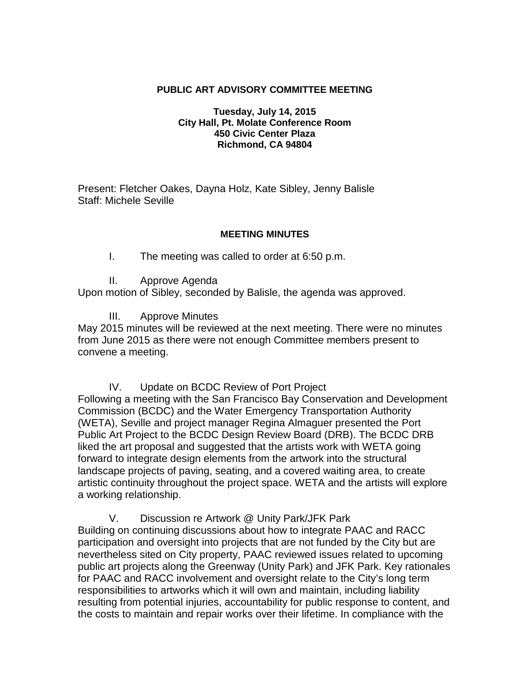### **PUBLIC ART ADVISORY COMMITTEE MEETING**

#### **Tuesday, July 14, 2015 City Hall, Pt. Molate Conference Room 450 Civic Center Plaza Richmond, CA 94804**

Present: Fletcher Oakes, Dayna Holz, Kate Sibley, Jenny Balisle Staff: Michele Seville

#### **MEETING MINUTES**

I. The meeting was called to order at 6:50 p.m.

II. Approve Agenda

Upon motion of Sibley, seconded by Balisle, the agenda was approved.

III. Approve Minutes

May 2015 minutes will be reviewed at the next meeting. There were no minutes from June 2015 as there were not enough Committee members present to convene a meeting.

IV. Update on BCDC Review of Port Project

Following a meeting with the San Francisco Bay Conservation and Development Commission (BCDC) and the Water Emergency Transportation Authority (WETA), Seville and project manager Regina Almaguer presented the Port Public Art Project to the BCDC Design Review Board (DRB). The BCDC DRB liked the art proposal and suggested that the artists work with WETA going forward to integrate design elements from the artwork into the structural landscape projects of paving, seating, and a covered waiting area, to create artistic continuity throughout the project space. WETA and the artists will explore a working relationship.

V. Discussion re Artwork @ Unity Park/JFK Park Building on continuing discussions about how to integrate PAAC and RACC participation and oversight into projects that are not funded by the City but are nevertheless sited on City property, PAAC reviewed issues related to upcoming public art projects along the Greenway (Unity Park) and JFK Park. Key rationales for PAAC and RACC involvement and oversight relate to the City's long term responsibilities to artworks which it will own and maintain, including liability resulting from potential injuries, accountability for public response to content, and the costs to maintain and repair works over their lifetime. In compliance with the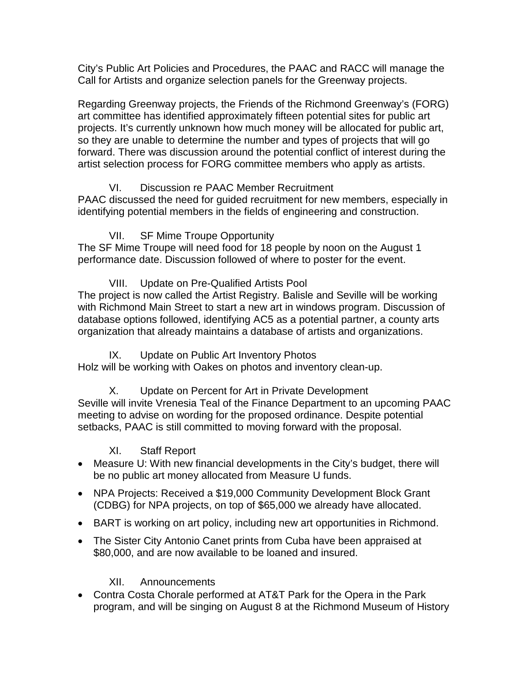City's Public Art Policies and Procedures, the PAAC and RACC will manage the Call for Artists and organize selection panels for the Greenway projects.

Regarding Greenway projects, the Friends of the Richmond Greenway's (FORG) art committee has identified approximately fifteen potential sites for public art projects. It's currently unknown how much money will be allocated for public art, so they are unable to determine the number and types of projects that will go forward. There was discussion around the potential conflict of interest during the artist selection process for FORG committee members who apply as artists.

# VI. Discussion re PAAC Member Recruitment

PAAC discussed the need for guided recruitment for new members, especially in identifying potential members in the fields of engineering and construction.

# VII. SF Mime Troupe Opportunity

The SF Mime Troupe will need food for 18 people by noon on the August 1 performance date. Discussion followed of where to poster for the event.

VIII. Update on Pre-Qualified Artists Pool

The project is now called the Artist Registry. Balisle and Seville will be working with Richmond Main Street to start a new art in windows program. Discussion of database options followed, identifying AC5 as a potential partner, a county arts organization that already maintains a database of artists and organizations.

## IX. Update on Public Art Inventory Photos

Holz will be working with Oakes on photos and inventory clean-up.

X. Update on Percent for Art in Private Development Seville will invite Vrenesia Teal of the Finance Department to an upcoming PAAC meeting to advise on wording for the proposed ordinance. Despite potential setbacks, PAAC is still committed to moving forward with the proposal.

## XI. Staff Report

- Measure U: With new financial developments in the City's budget, there will be no public art money allocated from Measure U funds.
- NPA Projects: Received a \$19,000 Community Development Block Grant (CDBG) for NPA projects, on top of \$65,000 we already have allocated.
- BART is working on art policy, including new art opportunities in Richmond.
- The Sister City Antonio Canet prints from Cuba have been appraised at \$80,000, and are now available to be loaned and insured.

## XII. Announcements

• Contra Costa Chorale performed at AT&T Park for the Opera in the Park program, and will be singing on August 8 at the Richmond Museum of History